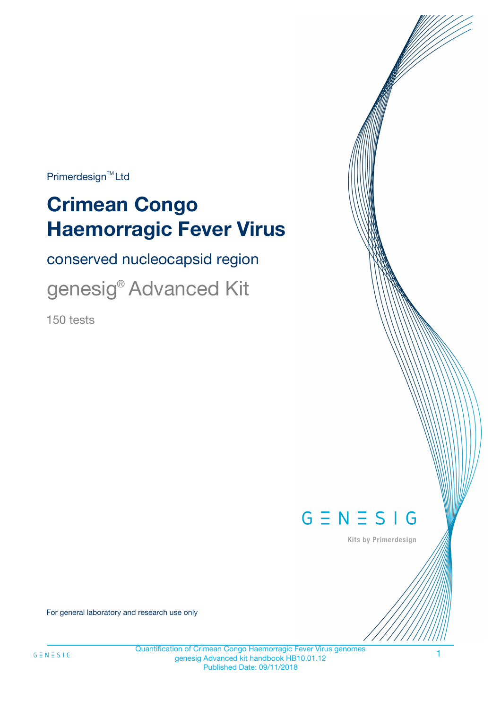$Primerdesign^{\text{TM}}Ltd$ 

# **Crimean Congo Haemorragic Fever Virus**

conserved nucleocapsid region

genesig® Advanced Kit

150 tests



Kits by Primerdesign

For general laboratory and research use only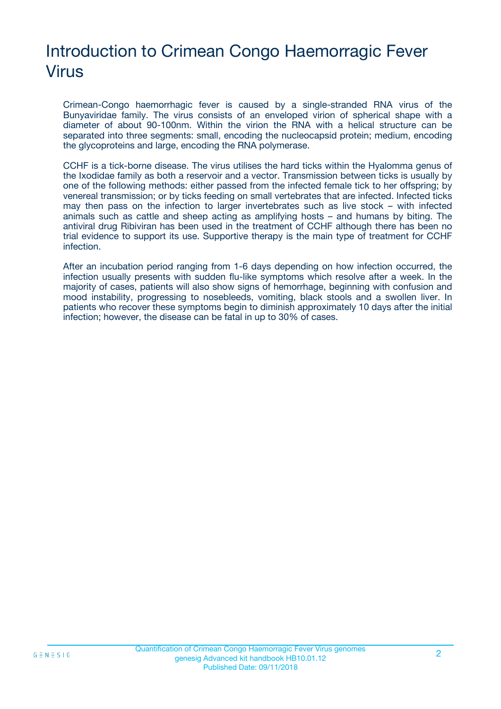# Introduction to Crimean Congo Haemorragic Fever Virus

Crimean-Congo haemorrhagic fever is caused by a single-stranded RNA virus of the Bunyaviridae family. The virus consists of an enveloped virion of spherical shape with a diameter of about 90-100nm. Within the virion the RNA with a helical structure can be separated into three segments: small, encoding the nucleocapsid protein; medium, encoding the glycoproteins and large, encoding the RNA polymerase.

CCHF is a tick-borne disease. The virus utilises the hard ticks within the Hyalomma genus of the Ixodidae family as both a reservoir and a vector. Transmission between ticks is usually by one of the following methods: either passed from the infected female tick to her offspring; by venereal transmission; or by ticks feeding on small vertebrates that are infected. Infected ticks may then pass on the infection to larger invertebrates such as live stock – with infected animals such as cattle and sheep acting as amplifying hosts – and humans by biting. The antiviral drug Ribiviran has been used in the treatment of CCHF although there has been no trial evidence to support its use. Supportive therapy is the main type of treatment for CCHF infection.

After an incubation period ranging from 1-6 days depending on how infection occurred, the infection usually presents with sudden flu-like symptoms which resolve after a week. In the majority of cases, patients will also show signs of hemorrhage, beginning with confusion and mood instability, progressing to nosebleeds, vomiting, black stools and a swollen liver. In patients who recover these symptoms begin to diminish approximately 10 days after the initial infection; however, the disease can be fatal in up to 30% of cases.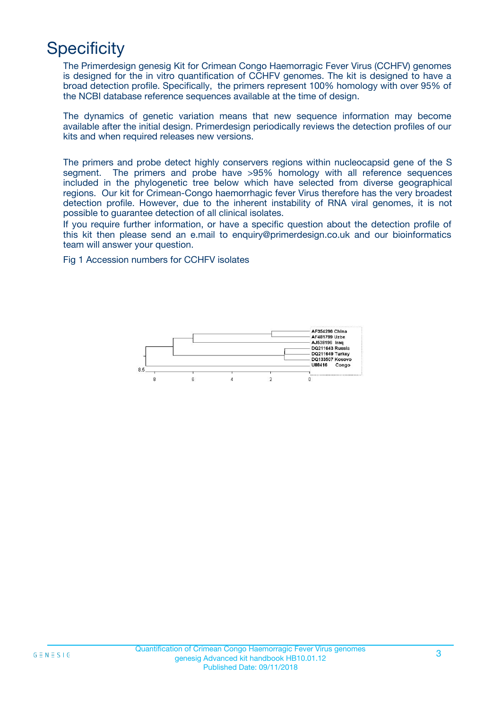### **Specificity**

The Primerdesign genesig Kit for Crimean Congo Haemorragic Fever Virus (CCHFV) genomes is designed for the in vitro quantification of CCHFV genomes. The kit is designed to have a broad detection profile. Specifically, the primers represent 100% homology with over 95% of the NCBI database reference sequences available at the time of design.

The dynamics of genetic variation means that new sequence information may become available after the initial design. Primerdesign periodically reviews the detection profiles of our kits and when required releases new versions.

The primers and probe detect highly conservers regions within nucleocapsid gene of the S segment. The primers and probe have >95% homology with all reference sequences included in the phylogenetic tree below which have selected from diverse geographical regions. Our kit for Crimean-Congo haemorrhagic fever Virus therefore has the very broadest detection profile. However, due to the inherent instability of RNA viral genomes, it is not possible to guarantee detection of all clinical isolates.

If you require further information, or have a specific question about the detection profile of this kit then please send an e.mail to enquiry@primerdesign.co.uk and our bioinformatics team will answer your question.

Fig 1 Accession numbers for CCHFV isolates

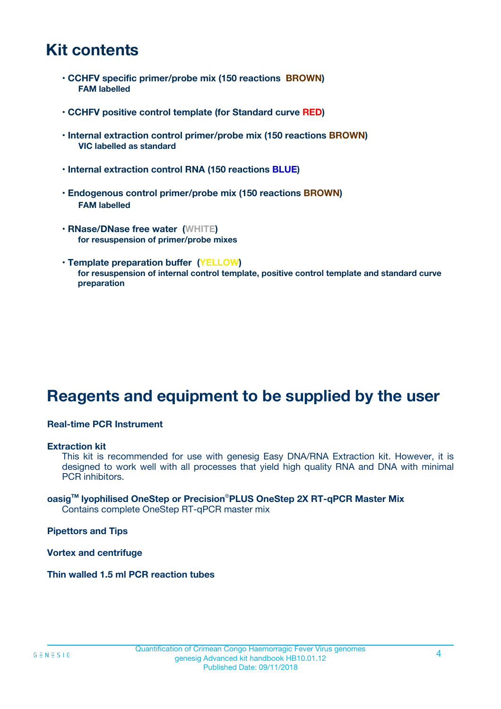### **Kit contents**

- **CCHFV specific primer/probe mix (150 reactions BROWN) FAM labelled**
- **CCHFV positive control template (for Standard curve RED)**
- **Internal extraction control primer/probe mix (150 reactions BROWN) VIC labelled as standard**
- **Internal extraction control RNA (150 reactions BLUE)**
- **Endogenous control primer/probe mix (150 reactions BROWN) FAM labelled**
- **RNase/DNase free water (WHITE) for resuspension of primer/probe mixes**
- **Template preparation buffer (YELLOW) for resuspension of internal control template, positive control template and standard curve preparation**

### **Reagents and equipment to be supplied by the user**

#### **Real-time PCR Instrument**

#### **Extraction kit**

This kit is recommended for use with genesig Easy DNA/RNA Extraction kit. However, it is designed to work well with all processes that yield high quality RNA and DNA with minimal PCR inhibitors.

#### **oasigTM lyophilised OneStep or Precision**®**PLUS OneStep 2X RT-qPCR Master Mix** Contains complete OneStep RT-qPCR master mix

**Pipettors and Tips**

**Vortex and centrifuge**

**Thin walled 1.5 ml PCR reaction tubes**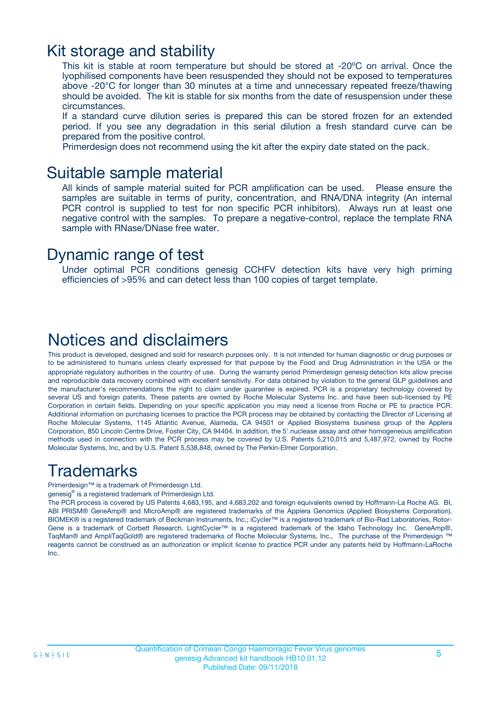### Kit storage and stability

This kit is stable at room temperature but should be stored at -20ºC on arrival. Once the lyophilised components have been resuspended they should not be exposed to temperatures above -20°C for longer than 30 minutes at a time and unnecessary repeated freeze/thawing should be avoided. The kit is stable for six months from the date of resuspension under these circumstances.

If a standard curve dilution series is prepared this can be stored frozen for an extended period. If you see any degradation in this serial dilution a fresh standard curve can be prepared from the positive control.

Primerdesign does not recommend using the kit after the expiry date stated on the pack.

### Suitable sample material

All kinds of sample material suited for PCR amplification can be used. Please ensure the samples are suitable in terms of purity, concentration, and RNA/DNA integrity (An internal PCR control is supplied to test for non specific PCR inhibitors). Always run at least one negative control with the samples. To prepare a negative-control, replace the template RNA sample with RNase/DNase free water.

### Dynamic range of test

Under optimal PCR conditions genesig CCHFV detection kits have very high priming efficiencies of >95% and can detect less than 100 copies of target template.

### Notices and disclaimers

This product is developed, designed and sold for research purposes only. It is not intended for human diagnostic or drug purposes or to be administered to humans unless clearly expressed for that purpose by the Food and Drug Administration in the USA or the appropriate regulatory authorities in the country of use. During the warranty period Primerdesign genesig detection kits allow precise and reproducible data recovery combined with excellent sensitivity. For data obtained by violation to the general GLP guidelines and the manufacturer's recommendations the right to claim under guarantee is expired. PCR is a proprietary technology covered by several US and foreign patents. These patents are owned by Roche Molecular Systems Inc. and have been sub-licensed by PE Corporation in certain fields. Depending on your specific application you may need a license from Roche or PE to practice PCR. Additional information on purchasing licenses to practice the PCR process may be obtained by contacting the Director of Licensing at Roche Molecular Systems, 1145 Atlantic Avenue, Alameda, CA 94501 or Applied Biosystems business group of the Applera Corporation, 850 Lincoln Centre Drive, Foster City, CA 94404. In addition, the 5' nuclease assay and other homogeneous amplification methods used in connection with the PCR process may be covered by U.S. Patents 5,210,015 and 5,487,972, owned by Roche Molecular Systems, Inc, and by U.S. Patent 5,538,848, owned by The Perkin-Elmer Corporation.

### Trademarks

Primerdesign™ is a trademark of Primerdesign Ltd.

genesig® is a registered trademark of Primerdesign Ltd.

The PCR process is covered by US Patents 4,683,195, and 4,683,202 and foreign equivalents owned by Hoffmann-La Roche AG. BI, ABI PRISM® GeneAmp® and MicroAmp® are registered trademarks of the Applera Genomics (Applied Biosystems Corporation). BIOMEK® is a registered trademark of Beckman Instruments, Inc.; iCycler™ is a registered trademark of Bio-Rad Laboratories, Rotor-Gene is a trademark of Corbett Research. LightCycler™ is a registered trademark of the Idaho Technology Inc. GeneAmp®, TaqMan® and AmpliTaqGold® are registered trademarks of Roche Molecular Systems, Inc., The purchase of the Primerdesign ™ reagents cannot be construed as an authorization or implicit license to practice PCR under any patents held by Hoffmann-LaRoche Inc.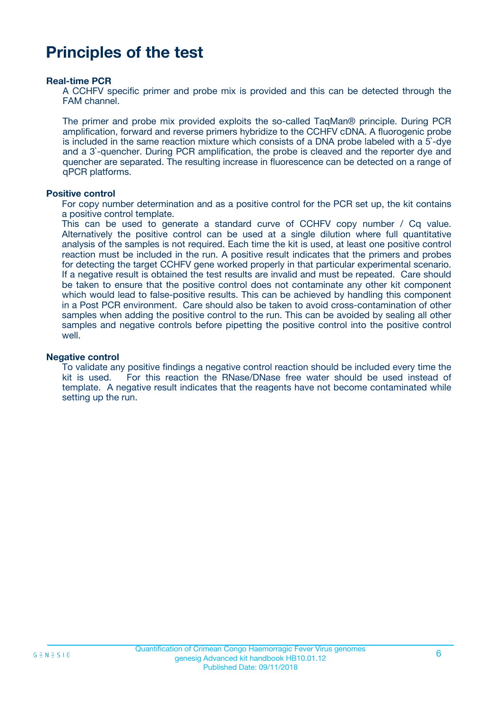### **Principles of the test**

#### **Real-time PCR**

A CCHFV specific primer and probe mix is provided and this can be detected through the FAM channel.

The primer and probe mix provided exploits the so-called TaqMan® principle. During PCR amplification, forward and reverse primers hybridize to the CCHFV cDNA. A fluorogenic probe is included in the same reaction mixture which consists of a DNA probe labeled with a 5`-dye and a 3`-quencher. During PCR amplification, the probe is cleaved and the reporter dye and quencher are separated. The resulting increase in fluorescence can be detected on a range of qPCR platforms.

#### **Positive control**

For copy number determination and as a positive control for the PCR set up, the kit contains a positive control template.

This can be used to generate a standard curve of CCHFV copy number / Cq value. Alternatively the positive control can be used at a single dilution where full quantitative analysis of the samples is not required. Each time the kit is used, at least one positive control reaction must be included in the run. A positive result indicates that the primers and probes for detecting the target CCHFV gene worked properly in that particular experimental scenario. If a negative result is obtained the test results are invalid and must be repeated. Care should be taken to ensure that the positive control does not contaminate any other kit component which would lead to false-positive results. This can be achieved by handling this component in a Post PCR environment. Care should also be taken to avoid cross-contamination of other samples when adding the positive control to the run. This can be avoided by sealing all other samples and negative controls before pipetting the positive control into the positive control well.

#### **Negative control**

To validate any positive findings a negative control reaction should be included every time the kit is used. For this reaction the RNase/DNase free water should be used instead of template. A negative result indicates that the reagents have not become contaminated while setting up the run.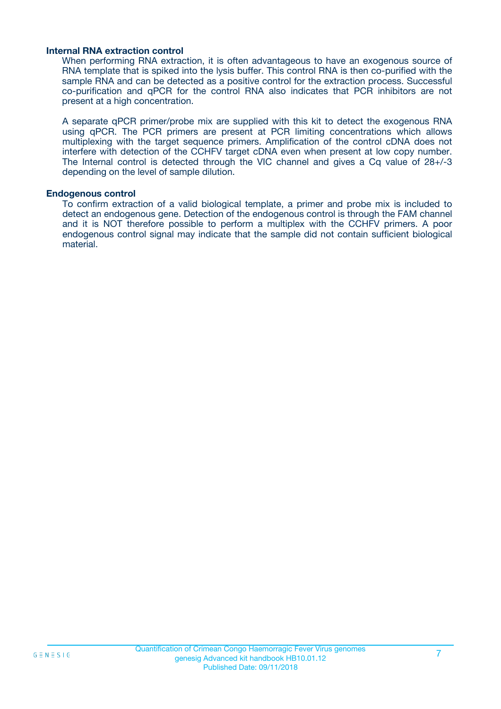#### **Internal RNA extraction control**

When performing RNA extraction, it is often advantageous to have an exogenous source of RNA template that is spiked into the lysis buffer. This control RNA is then co-purified with the sample RNA and can be detected as a positive control for the extraction process. Successful co-purification and qPCR for the control RNA also indicates that PCR inhibitors are not present at a high concentration.

A separate qPCR primer/probe mix are supplied with this kit to detect the exogenous RNA using qPCR. The PCR primers are present at PCR limiting concentrations which allows multiplexing with the target sequence primers. Amplification of the control cDNA does not interfere with detection of the CCHFV target cDNA even when present at low copy number. The Internal control is detected through the VIC channel and gives a Cq value of 28+/-3 depending on the level of sample dilution.

#### **Endogenous control**

To confirm extraction of a valid biological template, a primer and probe mix is included to detect an endogenous gene. Detection of the endogenous control is through the FAM channel and it is NOT therefore possible to perform a multiplex with the CCHFV primers. A poor endogenous control signal may indicate that the sample did not contain sufficient biological material.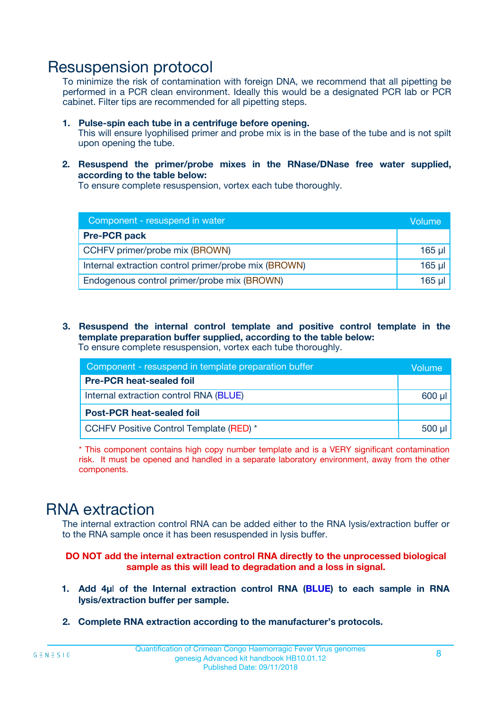### Resuspension protocol

To minimize the risk of contamination with foreign DNA, we recommend that all pipetting be performed in a PCR clean environment. Ideally this would be a designated PCR lab or PCR cabinet. Filter tips are recommended for all pipetting steps.

- **1. Pulse-spin each tube in a centrifuge before opening.** This will ensure lyophilised primer and probe mix is in the base of the tube and is not spilt upon opening the tube.
- **2. Resuspend the primer/probe mixes in the RNase/DNase free water supplied, according to the table below:**

To ensure complete resuspension, vortex each tube thoroughly.

| Component - resuspend in water                       |          |  |
|------------------------------------------------------|----------|--|
| <b>Pre-PCR pack</b>                                  |          |  |
| CCHFV primer/probe mix (BROWN)                       | $165$ µl |  |
| Internal extraction control primer/probe mix (BROWN) | $165$ µl |  |
| Endogenous control primer/probe mix (BROWN)          | 165 µl   |  |

**3. Resuspend the internal control template and positive control template in the template preparation buffer supplied, according to the table below:** To ensure complete resuspension, vortex each tube thoroughly.

| Component - resuspend in template preparation buffer |          |  |  |
|------------------------------------------------------|----------|--|--|
| <b>Pre-PCR heat-sealed foil</b>                      |          |  |  |
| Internal extraction control RNA (BLUE)               |          |  |  |
| <b>Post-PCR heat-sealed foil</b>                     |          |  |  |
| CCHFV Positive Control Template (RED) *              | $500$ µl |  |  |

\* This component contains high copy number template and is a VERY significant contamination risk. It must be opened and handled in a separate laboratory environment, away from the other components.

### RNA extraction

The internal extraction control RNA can be added either to the RNA lysis/extraction buffer or to the RNA sample once it has been resuspended in lysis buffer.

**DO NOT add the internal extraction control RNA directly to the unprocessed biological sample as this will lead to degradation and a loss in signal.**

- **1. Add 4µ**l **of the Internal extraction control RNA (BLUE) to each sample in RNA lysis/extraction buffer per sample.**
- **2. Complete RNA extraction according to the manufacturer's protocols.**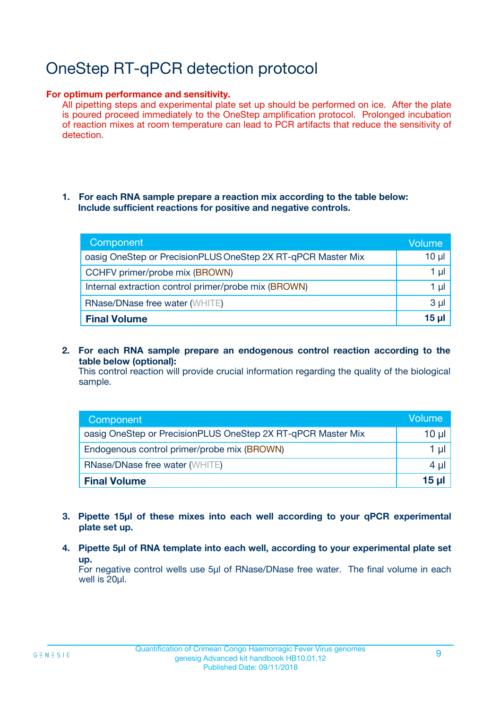# OneStep RT-qPCR detection protocol

#### **For optimum performance and sensitivity.**

All pipetting steps and experimental plate set up should be performed on ice. After the plate is poured proceed immediately to the OneStep amplification protocol. Prolonged incubation of reaction mixes at room temperature can lead to PCR artifacts that reduce the sensitivity of detection.

#### **1. For each RNA sample prepare a reaction mix according to the table below: Include sufficient reactions for positive and negative controls.**

| Component                                                    | <b>Volume</b> |
|--------------------------------------------------------------|---------------|
| oasig OneStep or PrecisionPLUS OneStep 2X RT-qPCR Master Mix | $10 \mu$      |
| CCHFV primer/probe mix (BROWN)                               | 1 µI          |
| Internal extraction control primer/probe mix (BROWN)         | 1 µI          |
| <b>RNase/DNase free water (WHITE)</b>                        | $3 \mu$       |
| <b>Final Volume</b>                                          | 15 µl         |

**2. For each RNA sample prepare an endogenous control reaction according to the table below (optional):**

This control reaction will provide crucial information regarding the quality of the biological sample.

| Component                                                    | Volume          |
|--------------------------------------------------------------|-----------------|
| oasig OneStep or PrecisionPLUS OneStep 2X RT-qPCR Master Mix | 10 µl           |
| Endogenous control primer/probe mix (BROWN)                  | 1 µl            |
| <b>RNase/DNase free water (WHITE)</b>                        | $4 \mu$         |
| <b>Final Volume</b>                                          | $15$ µl $\vert$ |

- **3. Pipette 15µl of these mixes into each well according to your qPCR experimental plate set up.**
- **4. Pipette 5µl of RNA template into each well, according to your experimental plate set up.**

For negative control wells use 5µl of RNase/DNase free water. The final volume in each well is 20µl.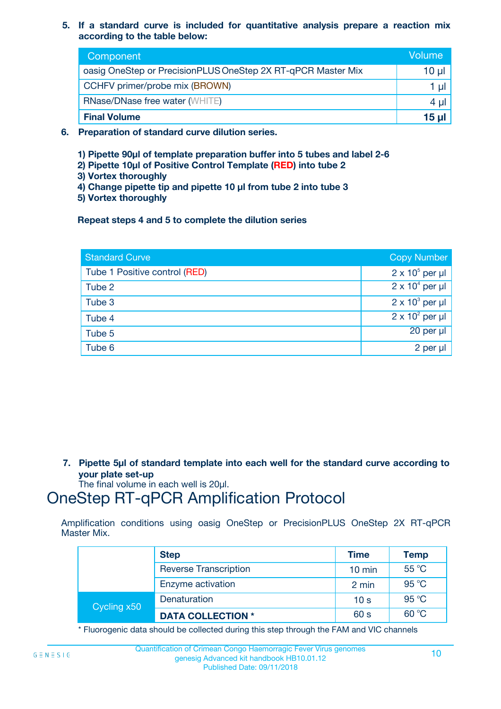**5. If a standard curve is included for quantitative analysis prepare a reaction mix according to the table below:**

| Component                                                    | Volume       |
|--------------------------------------------------------------|--------------|
| oasig OneStep or PrecisionPLUS OneStep 2X RT-qPCR Master Mix | $10 \mu$     |
| CCHFV primer/probe mix (BROWN)                               |              |
| <b>RNase/DNase free water (WHITE)</b>                        | 4 µ          |
| <b>Final Volume</b>                                          | <u>15 µl</u> |

- **6. Preparation of standard curve dilution series.**
	- **1) Pipette 90µl of template preparation buffer into 5 tubes and label 2-6**
	- **2) Pipette 10µl of Positive Control Template (RED) into tube 2**
	- **3) Vortex thoroughly**
	- **4) Change pipette tip and pipette 10 µl from tube 2 into tube 3**
	- **5) Vortex thoroughly**

**Repeat steps 4 and 5 to complete the dilution series**

| <b>Standard Curve</b>         | <b>Copy Number</b>     |
|-------------------------------|------------------------|
| Tube 1 Positive control (RED) | $2 \times 10^5$ per µl |
| Tube 2                        | $2 \times 10^4$ per µl |
| Tube 3                        | $2 \times 10^3$ per µl |
| Tube 4                        | $2 \times 10^2$ per µl |
| Tube 5                        | 20 per µl              |
| Tube 6                        | $2$ per $\mu$          |

**7. Pipette 5µl of standard template into each well for the standard curve according to your plate set-up**

The final volume in each well is 20µl.

### OneStep RT-qPCR Amplification Protocol

Amplification conditions using oasig OneStep or PrecisionPLUS OneStep 2X RT-qPCR Master Mix.

|             | <b>Step</b>                  | <b>Time</b>      | <b>Temp</b> |
|-------------|------------------------------|------------------|-------------|
|             | <b>Reverse Transcription</b> | $10 \text{ min}$ | 55 °C       |
|             | Enzyme activation            | 2 min            | 95 °C       |
| Cycling x50 | Denaturation                 | 10 <sub>s</sub>  | 95 °C       |
|             | <b>DATA COLLECTION *</b>     | 60 s             | 60 °C       |

\* Fluorogenic data should be collected during this step through the FAM and VIC channels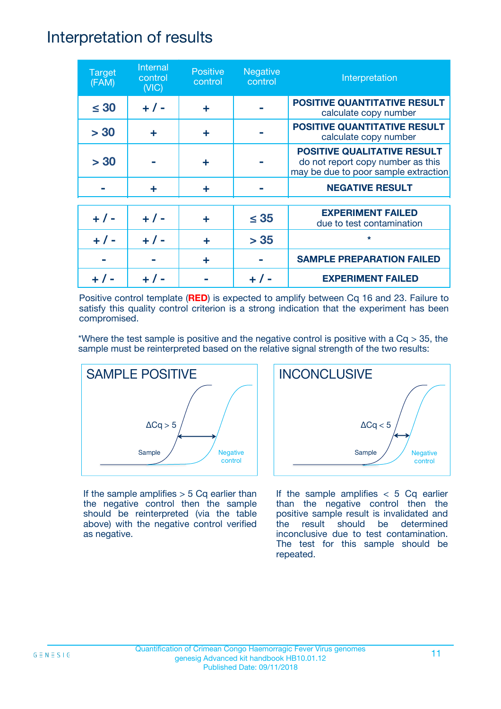### Interpretation of results

| <b>Target</b><br>(FAM) | Internal<br>control<br>(NIC) | <b>Positive</b><br>control | <b>Negative</b><br>control | Interpretation                                                                                                  |
|------------------------|------------------------------|----------------------------|----------------------------|-----------------------------------------------------------------------------------------------------------------|
| $\leq 30$              | $+ 1 -$                      | ÷                          |                            | <b>POSITIVE QUANTITATIVE RESULT</b><br>calculate copy number                                                    |
| > 30                   | ÷                            | ÷                          |                            | <b>POSITIVE QUANTITATIVE RESULT</b><br>calculate copy number                                                    |
| > 30                   |                              | ÷                          |                            | <b>POSITIVE QUALITATIVE RESULT</b><br>do not report copy number as this<br>may be due to poor sample extraction |
|                        | ÷                            | ÷                          |                            | <b>NEGATIVE RESULT</b>                                                                                          |
| $+ 1 -$                | $+ 1 -$                      | ÷                          | $\leq$ 35                  | <b>EXPERIMENT FAILED</b><br>due to test contamination                                                           |
|                        | $+$ / -                      |                            | > 35                       | $\star$                                                                                                         |
|                        |                              | ÷                          |                            | <b>SAMPLE PREPARATION FAILED</b>                                                                                |
|                        |                              |                            |                            | <b>EXPERIMENT FAILED</b>                                                                                        |

Positive control template (**RED**) is expected to amplify between Cq 16 and 23. Failure to satisfy this quality control criterion is a strong indication that the experiment has been compromised.

\*Where the test sample is positive and the negative control is positive with a  $Cq > 35$ , the sample must be reinterpreted based on the relative signal strength of the two results:



If the sample amplifies  $> 5$  Cq earlier than the negative control then the sample should be reinterpreted (via the table above) with the negative control verified as negative.



If the sample amplifies  $< 5$  Cq earlier than the negative control then the positive sample result is invalidated and the result should be determined inconclusive due to test contamination. The test for this sample should be repeated.